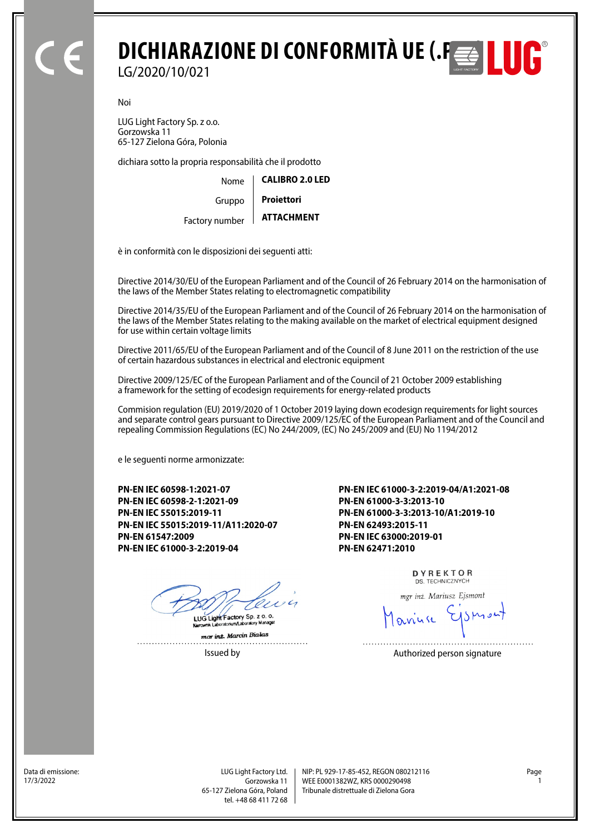## **DICHIARAZIONE DI CONFORMITÀ UE (.P<del>ES</del> | | | | | | | |** LG/2020/10/021

Noi

LUG Light Factory Sp. z o.o. Gorzowska 11 65-127 Zielona Góra, Polonia

dichiara sotto la propria responsabilità che il prodotto

| Nome   | <b>CALIBRO 2.0 LED</b> |  |
|--------|------------------------|--|
| Gruppo | <b>Projettori</b>      |  |
|        | ATTACHMFNT             |  |

**ATTACHMENT** Factory number

è in conformità con le disposizioni dei seguenti atti:

Directive 2014/30/EU of the European Parliament and of the Council of 26 February 2014 on the harmonisation of the laws of the Member States relating to electromagnetic compatibility

Directive 2014/35/EU of the European Parliament and of the Council of 26 February 2014 on the harmonisation of the laws of the Member States relating to the making available on the market of electrical equipment designed for use within certain voltage limits

Directive 2011/65/EU of the European Parliament and of the Council of 8 June 2011 on the restriction of the use of certain hazardous substances in electrical and electronic equipment

Directive 2009/125/EC of the European Parliament and of the Council of 21 October 2009 establishing a framework for the setting of ecodesign requirements for energy-related products

Commision regulation (EU) 2019/2020 of 1 October 2019 laying down ecodesign requirements for light sources and separate control gears pursuant to Directive 2009/125/EC of the European Parliament and of the Council and repealing Commission Regulations (EC) No 244/2009, (EC) No 245/2009 and (EU) No 1194/2012

e le seguenti norme armonizzate:

**PN-EN IEC 60598-1:2021-07 PN-EN IEC 60598-2-1:2021-09 PN-EN IEC 55015:2019-11 PN-EN IEC 55015:2019-11/A11:2020-07 PN-EN 61547:2009 PN-EN IEC 61000-3-2:2019-04**

I UG Light Factory Sp. z o. o.

mar inz. Marcin Bialas Issued by **Authorized person signature** 

**PN-EN IEC 61000-3-2:2019-04/A1:2021-08 PN-EN 61000-3-3:2013-10 PN-EN 61000-3-3:2013-10/A1:2019-10 PN-EN 62493:2015-11 PN-EN IEC 63000:2019-01 PN-EN 62471:2010**

> DYREKTOR DS. TECHNICZNYCH

mgr inż. Mariusz Ejsmont

Data di emissione:<br>17/3/2022

Gorzowska 11 65-127 Zielona Góra, Poland tel. +48 68 411 72 68

LUG Light Factory Ltd. Page NIP: PL 929-17-85-452, REGON 080212116 WEE E0001382WZ, KRS 0000290498 17/3/2022 1 Tribunale distrettuale di Zielona Gora